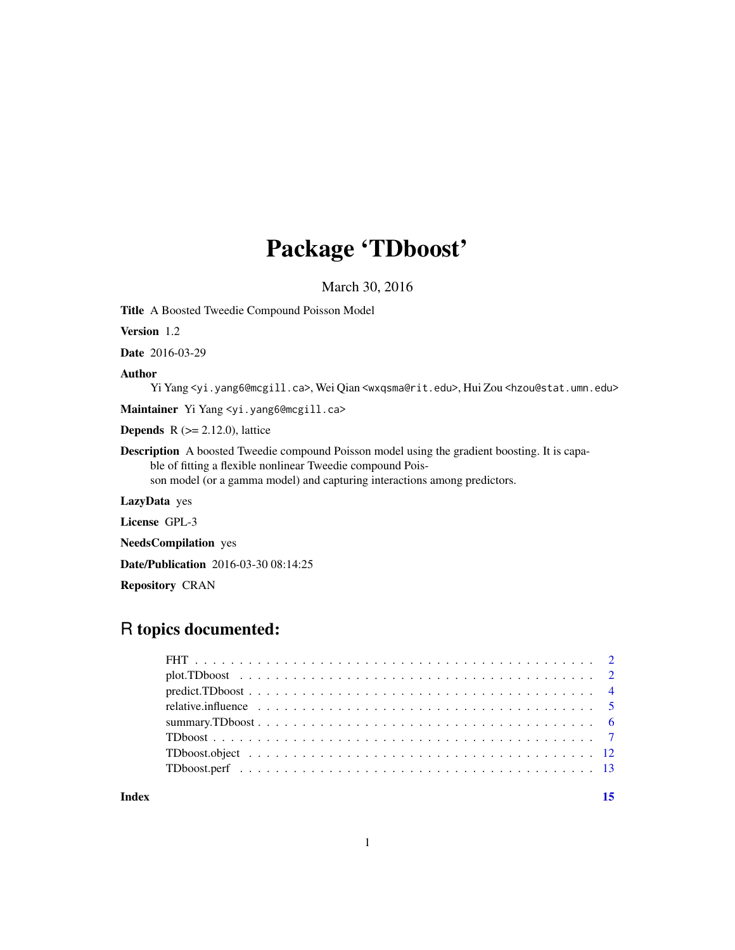## Package 'TDboost'

March 30, 2016

<span id="page-0-0"></span>Title A Boosted Tweedie Compound Poisson Model

Version 1.2

Date 2016-03-29

#### Author

Yi Yang <yi.yang6@mcgill.ca>, Wei Qian <wxqsma@rit.edu>, Hui Zou <hzou@stat.umn.edu>

Maintainer Yi Yang <yi.yang6@mcgill.ca>

**Depends** R  $(>= 2.12.0)$ , lattice

Description A boosted Tweedie compound Poisson model using the gradient boosting. It is capable of fitting a flexible nonlinear Tweedie compound Poisson model (or a gamma model) and capturing interactions among predictors.

LazyData yes

License GPL-3

NeedsCompilation yes

Date/Publication 2016-03-30 08:14:25

Repository CRAN

## R topics documented:

| Index | 15 |
|-------|----|

1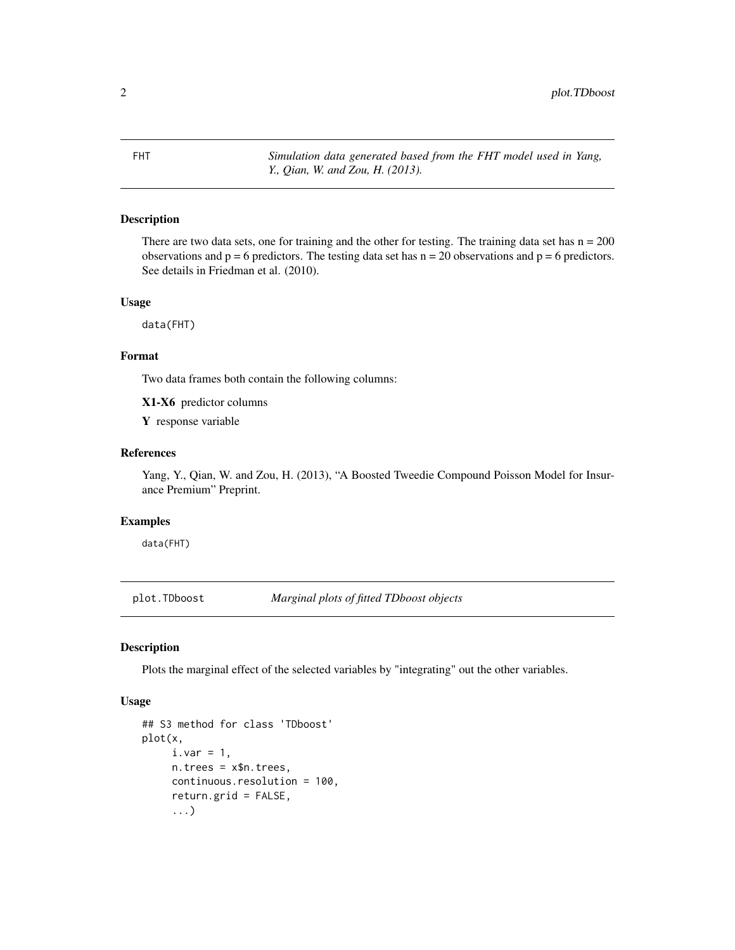<span id="page-1-0"></span>FHT *Simulation data generated based from the FHT model used in Yang, Y., Qian, W. and Zou, H. (2013).*

## Description

There are two data sets, one for training and the other for testing. The training data set has  $n = 200$ observations and  $p = 6$  predictors. The testing data set has  $n = 20$  observations and  $p = 6$  predictors. See details in Friedman et al. (2010).

#### Usage

data(FHT)

## Format

Two data frames both contain the following columns:

X1-X6 predictor columns

Y response variable

## References

Yang, Y., Qian, W. and Zou, H. (2013), "A Boosted Tweedie Compound Poisson Model for Insurance Premium" Preprint.

## Examples

data(FHT)

<span id="page-1-1"></span>plot.TDboost *Marginal plots of fitted TDboost objects*

## Description

Plots the marginal effect of the selected variables by "integrating" out the other variables.

#### Usage

```
## S3 method for class 'TDboost'
plot(x,
     i.var = 1,
     n.trees = x$n.trees,
     continuous.resolution = 100,
     return.grid = FALSE,
     ...)
```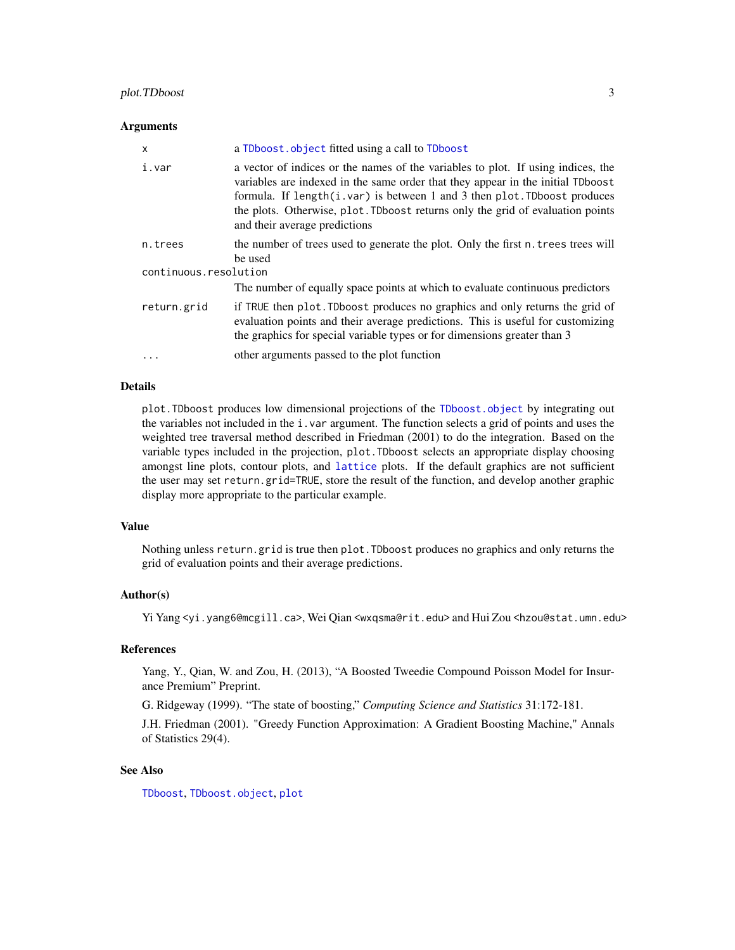#### <span id="page-2-0"></span>**Arguments**

| x                     | a TDboost. object fitted using a call to TDboost                                                                                                                                                                                                                                                                                                                           |
|-----------------------|----------------------------------------------------------------------------------------------------------------------------------------------------------------------------------------------------------------------------------------------------------------------------------------------------------------------------------------------------------------------------|
| i.var                 | a vector of indices or the names of the variables to plot. If using indices, the<br>variables are indexed in the same order that they appear in the initial TDboost<br>formula. If $length(i \cdot var)$ is between 1 and 3 then plot. TDboost produces<br>the plots. Otherwise, plot. TDboost returns only the grid of evaluation points<br>and their average predictions |
| n.trees               | the number of trees used to generate the plot. Only the first n. trees trees will<br>be used                                                                                                                                                                                                                                                                               |
| continuous.resolution |                                                                                                                                                                                                                                                                                                                                                                            |
|                       | The number of equally space points at which to evaluate continuous predictors                                                                                                                                                                                                                                                                                              |
| return.grid           | if TRUE then plot. TDboost produces no graphics and only returns the grid of<br>evaluation points and their average predictions. This is useful for customizing<br>the graphics for special variable types or for dimensions greater than 3                                                                                                                                |
| $\ddots$ .            | other arguments passed to the plot function                                                                                                                                                                                                                                                                                                                                |

#### Details

plot.TDboost produces low dimensional projections of the [TDboost.object](#page-11-1) by integrating out the variables not included in the i.var argument. The function selects a grid of points and uses the weighted tree traversal method described in Friedman (2001) to do the integration. Based on the variable types included in the projection, plot.TDboost selects an appropriate display choosing amongst line plots, contour plots, and [lattice](#page-0-0) plots. If the default graphics are not sufficient the user may set return.grid=TRUE, store the result of the function, and develop another graphic display more appropriate to the particular example.

#### Value

Nothing unless return.grid is true then plot.TDboost produces no graphics and only returns the grid of evaluation points and their average predictions.

#### Author(s)

Yi Yang <yi.yang6@mcgill.ca>, Wei Qian <wxqsma@rit.edu> and Hui Zou <hzou@stat.umn.edu>

#### References

Yang, Y., Qian, W. and Zou, H. (2013), "A Boosted Tweedie Compound Poisson Model for Insurance Premium" Preprint.

G. Ridgeway (1999). "The state of boosting," *Computing Science and Statistics* 31:172-181.

J.H. Friedman (2001). "Greedy Function Approximation: A Gradient Boosting Machine," Annals of Statistics 29(4).

## See Also

[TDboost](#page-6-1), [TDboost.object](#page-11-1), [plot](#page-0-0)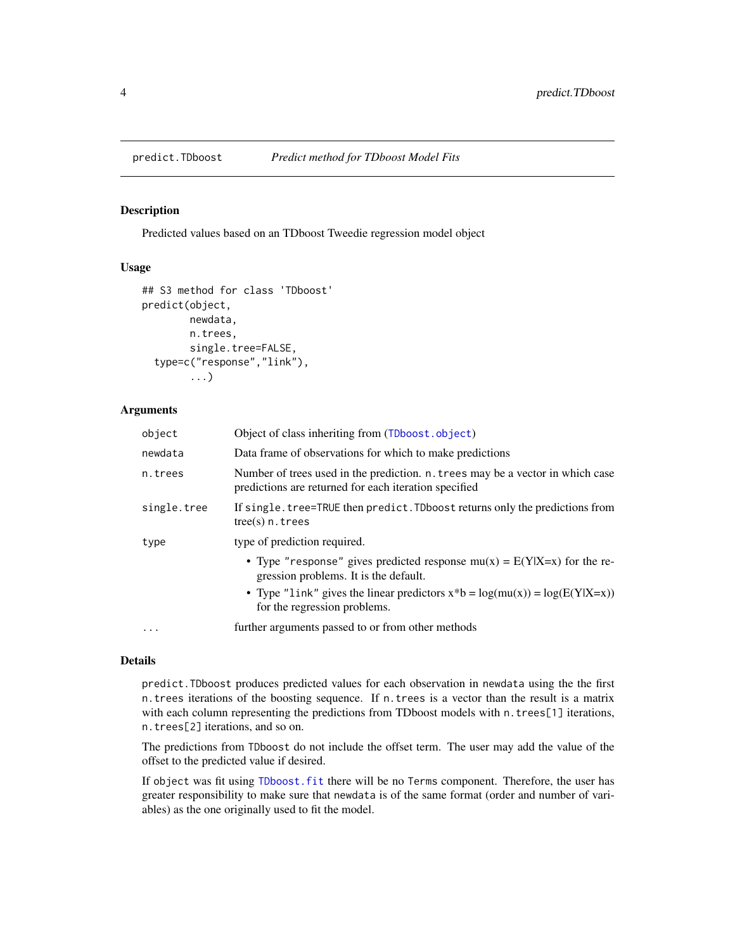<span id="page-3-1"></span><span id="page-3-0"></span>

## Description

Predicted values based on an TDboost Tweedie regression model object

#### Usage

```
## S3 method for class 'TDboost'
predict(object,
        newdata,
        n.trees,
        single.tree=FALSE,
  type=c("response","link"),
        ...)
```
## Arguments

| object      | Object of class inheriting from (TDboost.object)                                                                                        |
|-------------|-----------------------------------------------------------------------------------------------------------------------------------------|
| newdata     | Data frame of observations for which to make predictions                                                                                |
| n.trees     | Number of trees used in the prediction. n. trees may be a vector in which case<br>predictions are returned for each iteration specified |
| single.tree | If single. tree=TRUE then predict. TDboost returns only the predictions from<br>$tree(s)$ n. trees                                      |
| type        | type of prediction required.                                                                                                            |
|             | • Type "response" gives predicted response $mu(x) = E(Y X=x)$ for the re-<br>gression problems. It is the default.                      |
|             | • Type "link" gives the linear predictors $x * b = log(mu(x)) = log(E(Y X=x))$<br>for the regression problems.                          |
| $\ddotsc$   | further arguments passed to or from other methods                                                                                       |

## Details

predict.TDboost produces predicted values for each observation in newdata using the the first n.trees iterations of the boosting sequence. If n.trees is a vector than the result is a matrix with each column representing the predictions from TDboost models with n.trees[1] iterations, n.trees[2] iterations, and so on.

The predictions from TDboost do not include the offset term. The user may add the value of the offset to the predicted value if desired.

If object was fit using [TDboost.fit](#page-6-2) there will be no Terms component. Therefore, the user has greater responsibility to make sure that newdata is of the same format (order and number of variables) as the one originally used to fit the model.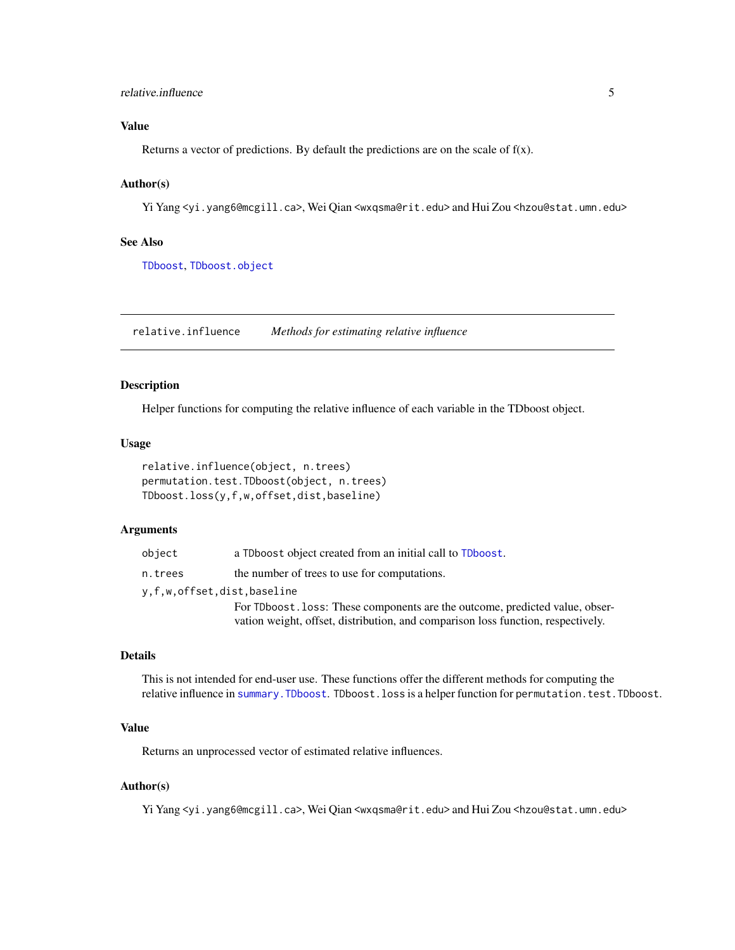## <span id="page-4-0"></span>relative.influence 5

## Value

Returns a vector of predictions. By default the predictions are on the scale of  $f(x)$ .

## Author(s)

Yi Yang <yi.yang6@mcgill.ca>, Wei Qian <wxqsma@rit.edu> and Hui Zou <hzou@stat.umn.edu>

## See Also

[TDboost](#page-6-1), [TDboost.object](#page-11-1)

<span id="page-4-1"></span>relative.influence *Methods for estimating relative influence*

#### <span id="page-4-2"></span>Description

Helper functions for computing the relative influence of each variable in the TDboost object.

#### Usage

```
relative.influence(object, n.trees)
permutation.test.TDboost(object, n.trees)
TDboost.loss(y,f,w,offset,dist,baseline)
```
## Arguments

| object                     | a TDboost object created from an initial call to TDboost.                                                                                                        |
|----------------------------|------------------------------------------------------------------------------------------------------------------------------------------------------------------|
| n.trees                    | the number of trees to use for computations.                                                                                                                     |
| y,f,w,offset,dist,baseline |                                                                                                                                                                  |
|                            | For TDboost. loss: These components are the outcome, predicted value, obser-<br>vation weight, offset, distribution, and comparison loss function, respectively. |

## Details

This is not intended for end-user use. These functions offer the different methods for computing the relative influence in [summary.TDboost](#page-5-1). TDboost.loss is a helper function for permutation.test.TDboost.

## Value

Returns an unprocessed vector of estimated relative influences.

## Author(s)

Yi Yang <yi.yang6@mcgill.ca>, Wei Qian <wxqsma@rit.edu> and Hui Zou <hzou@stat.umn.edu>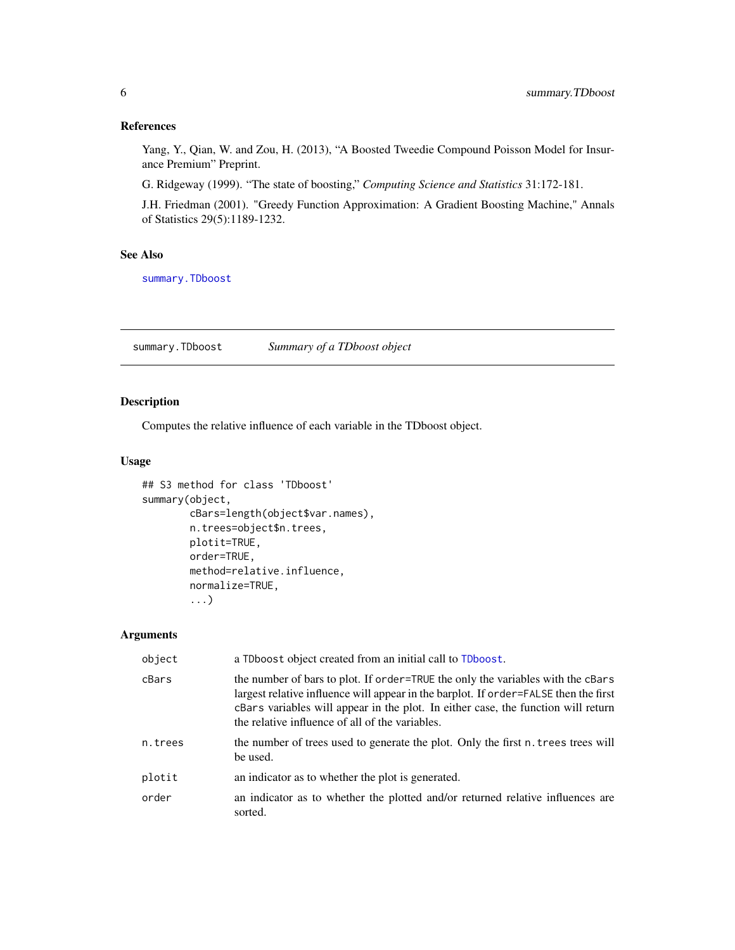## <span id="page-5-0"></span>References

Yang, Y., Qian, W. and Zou, H. (2013), "A Boosted Tweedie Compound Poisson Model for Insurance Premium" Preprint.

G. Ridgeway (1999). "The state of boosting," *Computing Science and Statistics* 31:172-181.

J.H. Friedman (2001). "Greedy Function Approximation: A Gradient Boosting Machine," Annals of Statistics 29(5):1189-1232.

#### See Also

[summary.TDboost](#page-5-1)

<span id="page-5-1"></span>summary.TDboost *Summary of a TDboost object*

## Description

Computes the relative influence of each variable in the TDboost object.

## Usage

```
## S3 method for class 'TDboost'
summary(object,
        cBars=length(object$var.names),
        n.trees=object$n.trees,
        plotit=TRUE,
        order=TRUE,
        method=relative.influence,
        normalize=TRUE,
        ...)
```
#### Arguments

| object  | a TDboost object created from an initial call to TDboost.                                                                                                                                                                                                                                                       |
|---------|-----------------------------------------------------------------------------------------------------------------------------------------------------------------------------------------------------------------------------------------------------------------------------------------------------------------|
| cBars   | the number of bars to plot. If order=TRUE the only the variables with the cBars<br>largest relative influence will appear in the barplot. If order=FALSE then the first<br>cBars variables will appear in the plot. In either case, the function will return<br>the relative influence of all of the variables. |
| n.trees | the number of trees used to generate the plot. Only the first n. trees trees will<br>be used.                                                                                                                                                                                                                   |
| plotit  | an indicator as to whether the plot is generated.                                                                                                                                                                                                                                                               |
| order   | an indicator as to whether the plotted and/or returned relative influences are<br>sorted.                                                                                                                                                                                                                       |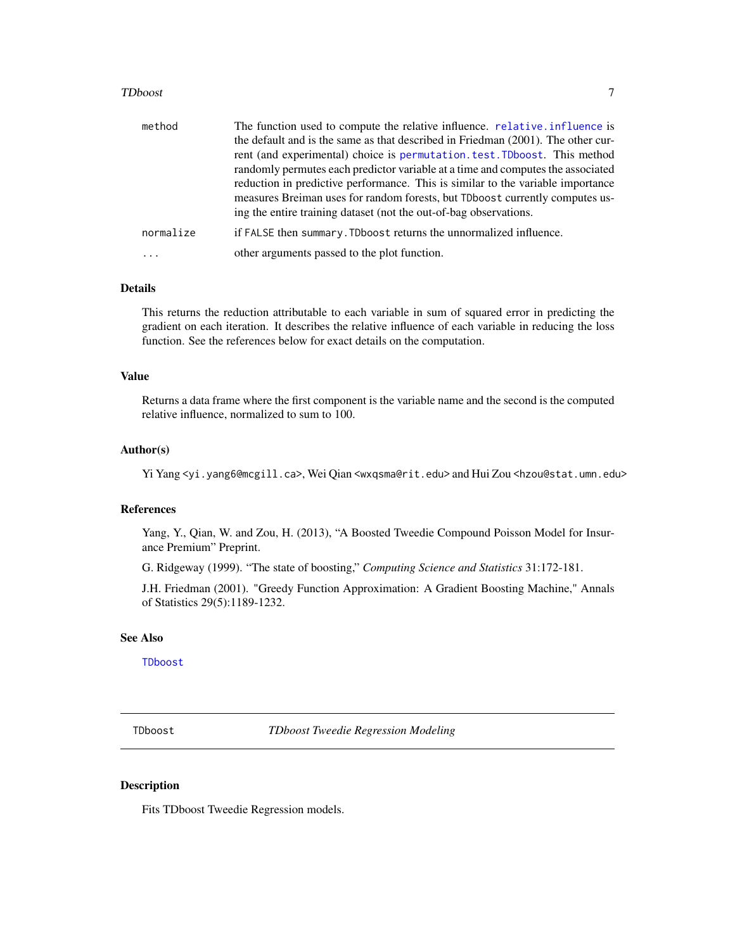#### <span id="page-6-0"></span>TDboost 7

| method    | The function used to compute the relative influence. relative.influence is       |
|-----------|----------------------------------------------------------------------------------|
|           | the default and is the same as that described in Friedman (2001). The other cur- |
|           | rent (and experimental) choice is permutation test. TDboost. This method         |
|           | randomly permutes each predictor variable at a time and computes the associated  |
|           | reduction in predictive performance. This is similar to the variable importance  |
|           | measures Breiman uses for random forests, but TDboost currently computes us-     |
|           | ing the entire training dataset (not the out-of-bag observations.                |
| normalize | if FALSE then summary. TDboost returns the unnormalized influence.               |
|           | other arguments passed to the plot function.                                     |

#### Details

This returns the reduction attributable to each variable in sum of squared error in predicting the gradient on each iteration. It describes the relative influence of each variable in reducing the loss function. See the references below for exact details on the computation.

### Value

Returns a data frame where the first component is the variable name and the second is the computed relative influence, normalized to sum to 100.

## Author(s)

Yi Yang <yi.yang6@mcgill.ca>, Wei Qian <wxqsma@rit.edu> and Hui Zou <hzou@stat.umn.edu>

#### References

Yang, Y., Qian, W. and Zou, H. (2013), "A Boosted Tweedie Compound Poisson Model for Insurance Premium" Preprint.

G. Ridgeway (1999). "The state of boosting," *Computing Science and Statistics* 31:172-181.

J.H. Friedman (2001). "Greedy Function Approximation: A Gradient Boosting Machine," Annals of Statistics 29(5):1189-1232.

## See Also

[TDboost](#page-6-1)

<span id="page-6-1"></span>TDboost *TDboost Tweedie Regression Modeling*

## <span id="page-6-2"></span>Description

Fits TDboost Tweedie Regression models.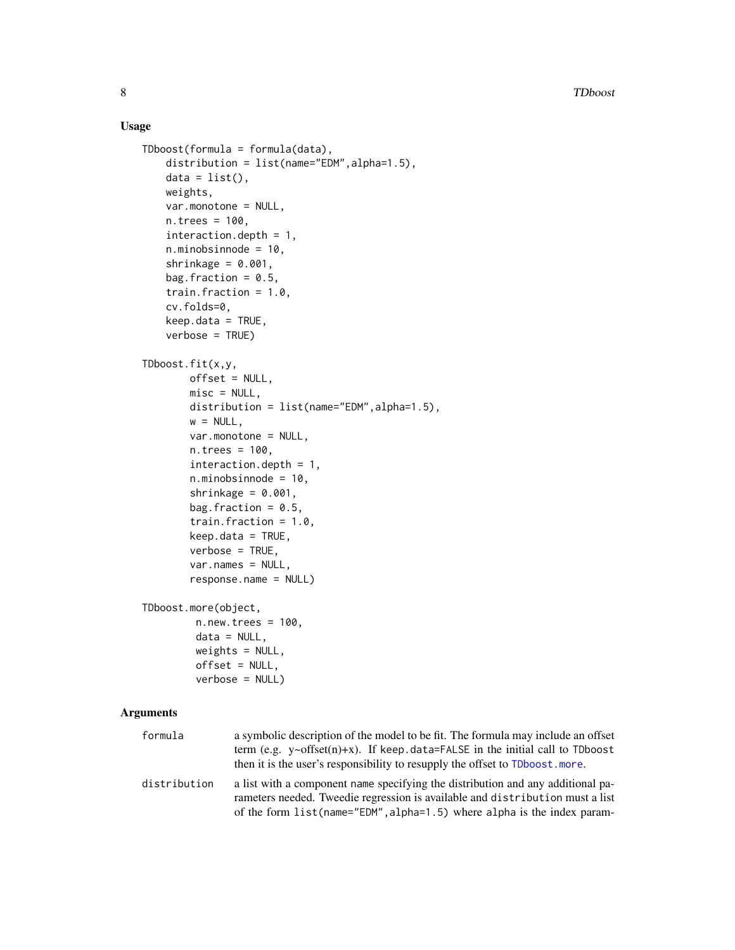## Usage

```
TDboost(formula = formula(data),distribution = list(name="EDM",alpha=1.5),
   data = list(),weights,
   var.monotone = NULL,
   n.trees = 100,
   interaction.depth = 1,
   n.minobsinnode = 10,
   shrinkage = 0.001,
   bag.fraction = 0.5,
   train.fraction = 1.0,
   cv.folds=0,
   keep.data = TRUE,verbose = TRUE)
TDboost.fit(x,y,
       offset = NULL,
       misc = NULL,
       distribution = list(name="EDM",alpha=1.5),
       w = NULL,var.monotone = NULL,
       n.trees = 100,
       interaction.depth = 1,
       n.minobsinnode = 10,
       shrinkage = 0.001,
       bag.fraction = 0.5,
       train.fraction = 1.0,
       keep.data = TRUE,
       verbose = TRUE,
       var.names = NULL,
       response.name = NULL)
TDboost.more(object,
        n.new.trees = 100,data = NULL,weights = NULL,
         offset = NULL,
        verbose = NULL)
```
## Arguments

| formula      | a symbolic description of the model to be fit. The formula may include an offset<br>term (e.g. $y \sim \text{offset}(n) + x$ ). If keep data=FALSE in the initial call to TDboost<br>then it is the user's responsibility to resupply the offset to TDboost, more. |
|--------------|--------------------------------------------------------------------------------------------------------------------------------------------------------------------------------------------------------------------------------------------------------------------|
| distribution | a list with a component name specifying the distribution and any additional pa-<br>rameters needed. Tweedie regression is available and distribution must a list<br>of the form list (name="EDM", alpha=1.5) where alpha is the index param-                       |

<span id="page-7-0"></span>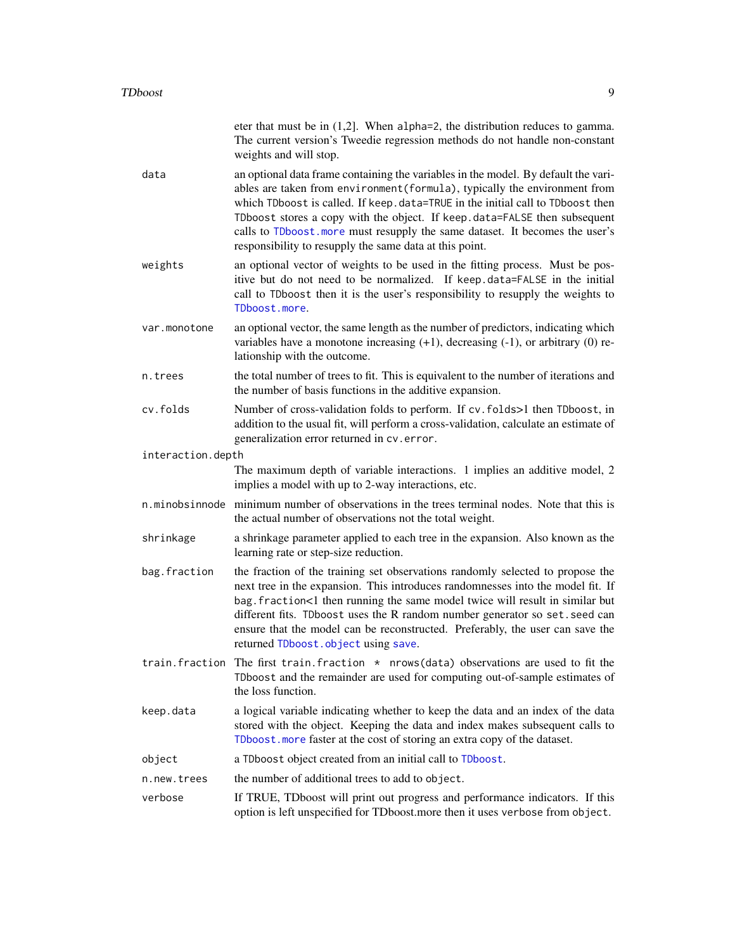<span id="page-8-0"></span>

|                   | eter that must be in $(1,2]$ . When alpha=2, the distribution reduces to gamma.<br>The current version's Tweedie regression methods do not handle non-constant<br>weights and will stop.                                                                                                                                                                                                                                                                                   |
|-------------------|----------------------------------------------------------------------------------------------------------------------------------------------------------------------------------------------------------------------------------------------------------------------------------------------------------------------------------------------------------------------------------------------------------------------------------------------------------------------------|
| data              | an optional data frame containing the variables in the model. By default the vari-<br>ables are taken from environment (formula), typically the environment from<br>which TDboost is called. If keep.data=TRUE in the initial call to TDboost then<br>TDboost stores a copy with the object. If keep.data=FALSE then subsequent<br>calls to TDboost. more must resupply the same dataset. It becomes the user's<br>responsibility to resupply the same data at this point. |
| weights           | an optional vector of weights to be used in the fitting process. Must be pos-<br>itive but do not need to be normalized. If keep.data=FALSE in the initial<br>call to TDboost then it is the user's responsibility to resupply the weights to<br>TDboost.more.                                                                                                                                                                                                             |
| var.monotone      | an optional vector, the same length as the number of predictors, indicating which<br>variables have a monotone increasing $(+1)$ , decreasing $(-1)$ , or arbitrary $(0)$ re-<br>lationship with the outcome.                                                                                                                                                                                                                                                              |
| n.trees           | the total number of trees to fit. This is equivalent to the number of iterations and<br>the number of basis functions in the additive expansion.                                                                                                                                                                                                                                                                                                                           |
| cy.folds          | Number of cross-validation folds to perform. If cv. folds>1 then TDboost, in<br>addition to the usual fit, will perform a cross-validation, calculate an estimate of<br>generalization error returned in cv. error.                                                                                                                                                                                                                                                        |
| interaction.depth |                                                                                                                                                                                                                                                                                                                                                                                                                                                                            |
|                   | The maximum depth of variable interactions. 1 implies an additive model, 2<br>implies a model with up to 2-way interactions, etc.                                                                                                                                                                                                                                                                                                                                          |
|                   | n minobsine of minimum number of observations in the trees terminal nodes. Note that this is<br>the actual number of observations not the total weight.                                                                                                                                                                                                                                                                                                                    |
| shrinkage         | a shrinkage parameter applied to each tree in the expansion. Also known as the<br>learning rate or step-size reduction.                                                                                                                                                                                                                                                                                                                                                    |
| bag.fraction      | the fraction of the training set observations randomly selected to propose the<br>next tree in the expansion. This introduces randomnesses into the model fit. If<br>bag. fraction<1 then running the same model twice will result in similar but<br>different fits. TDboost uses the R random number generator so set. seed can<br>ensure that the model can be reconstructed. Preferably, the user can save the<br>returned TDboost.object using save.                   |
|                   | train.fraction The first train.fraction * nrows(data) observations are used to fit the<br>TDboost and the remainder are used for computing out-of-sample estimates of<br>the loss function.                                                                                                                                                                                                                                                                                |
| keep.data         | a logical variable indicating whether to keep the data and an index of the data<br>stored with the object. Keeping the data and index makes subsequent calls to<br>TDboost. more faster at the cost of storing an extra copy of the dataset.                                                                                                                                                                                                                               |
| object            | a TDboost object created from an initial call to TDboost.                                                                                                                                                                                                                                                                                                                                                                                                                  |
| n.new.trees       | the number of additional trees to add to object.                                                                                                                                                                                                                                                                                                                                                                                                                           |
| verbose           | If TRUE, TDboost will print out progress and performance indicators. If this<br>option is left unspecified for TDboost.more then it uses verbose from object.                                                                                                                                                                                                                                                                                                              |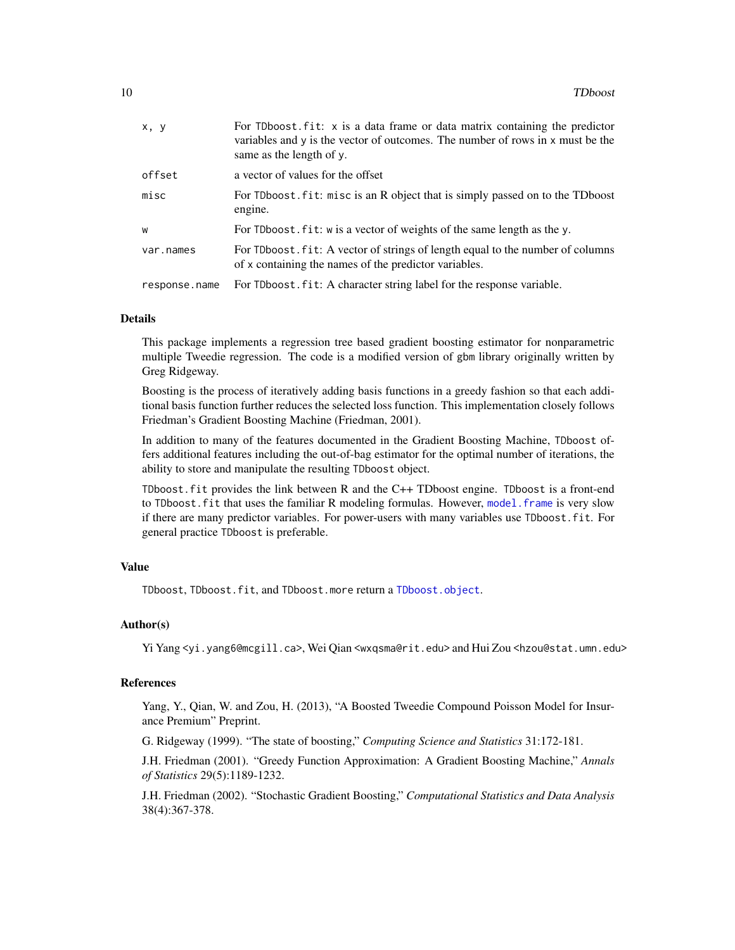<span id="page-9-0"></span>

| x, y          | For TDboost.fit: x is a data frame or data matrix containing the predictor<br>variables and y is the vector of outcomes. The number of rows in x must be the<br>same as the length of y. |
|---------------|------------------------------------------------------------------------------------------------------------------------------------------------------------------------------------------|
| offset        | a vector of values for the offset                                                                                                                                                        |
| misc          | For TDboost. fit: misc is an R object that is simply passed on to the TDboost<br>engine.                                                                                                 |
| W             | For TD boost $\mathbf{f}$ it: w is a vector of weights of the same length as the y.                                                                                                      |
| var.names     | For TDboost. fit: A vector of strings of length equal to the number of columns<br>of x containing the names of the predictor variables.                                                  |
| response.name | For TDboost. fit: A character string label for the response variable.                                                                                                                    |

#### Details

This package implements a regression tree based gradient boosting estimator for nonparametric multiple Tweedie regression. The code is a modified version of gbm library originally written by Greg Ridgeway.

Boosting is the process of iteratively adding basis functions in a greedy fashion so that each additional basis function further reduces the selected loss function. This implementation closely follows Friedman's Gradient Boosting Machine (Friedman, 2001).

In addition to many of the features documented in the Gradient Boosting Machine, TDboost offers additional features including the out-of-bag estimator for the optimal number of iterations, the ability to store and manipulate the resulting TDboost object.

TDboost.fit provides the link between R and the C++ TDboost engine. TDboost is a front-end to TDboost.fit that uses the familiar R modeling formulas. However, [model.frame](#page-0-0) is very slow if there are many predictor variables. For power-users with many variables use TDboost.fit. For general practice TDboost is preferable.

#### Value

TDboost, TDboost.fit, and TDboost.more return a [TDboost.object](#page-11-1).

#### Author(s)

Yi Yang <yi.yang6@mcgill.ca>, Wei Qian <wxqsma@rit.edu> and Hui Zou <hzou@stat.umn.edu>

#### References

Yang, Y., Qian, W. and Zou, H. (2013), "A Boosted Tweedie Compound Poisson Model for Insurance Premium" Preprint.

G. Ridgeway (1999). "The state of boosting," *Computing Science and Statistics* 31:172-181.

J.H. Friedman (2001). "Greedy Function Approximation: A Gradient Boosting Machine," *Annals of Statistics* 29(5):1189-1232.

J.H. Friedman (2002). "Stochastic Gradient Boosting," *Computational Statistics and Data Analysis* 38(4):367-378.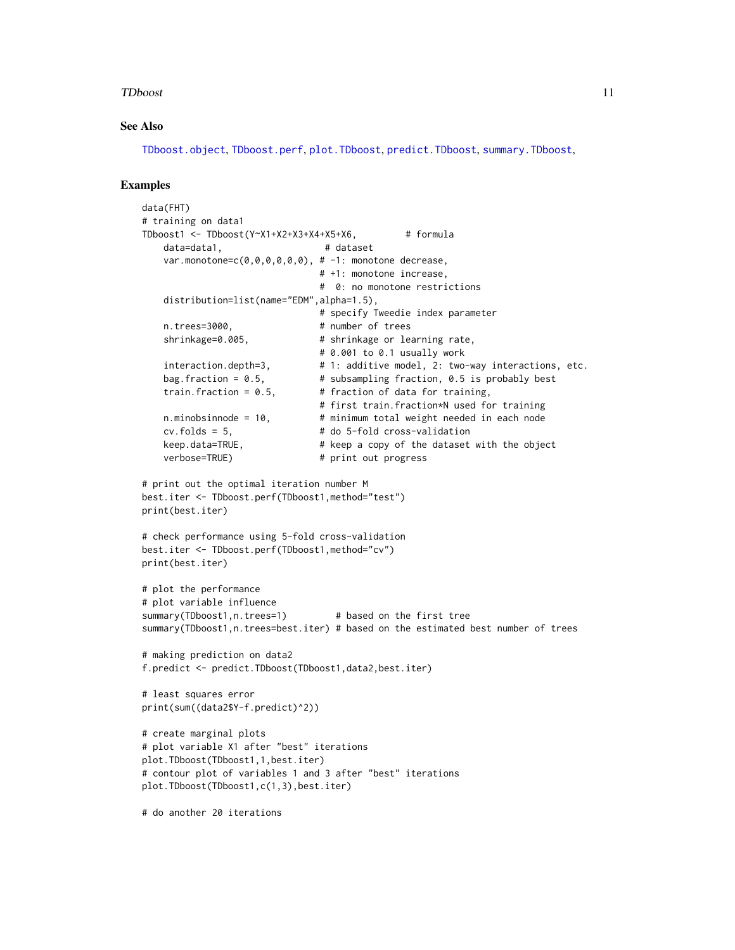#### <span id="page-10-0"></span>TDboost 11

## See Also

[TDboost.object](#page-11-1), [TDboost.perf](#page-12-1), [plot.TDboost](#page-1-1), [predict.TDboost](#page-3-1), [summary.TDboost](#page-5-1),

## Examples

```
data(FHT)
# training on data1
TDboost1 <- TDboost(Y~X1+X2+X3+X4+X5+X6, # formula
   data=data1, # dataset
   var.monotone=c(0,0,0,0,0,0), # -1: monotone decrease,
                              # +1: monotone increase,
                              # 0: no monotone restrictions
   distribution=list(name="EDM",alpha=1.5),
                              # specify Tweedie index parameter
   n.trees=3000, # number of trees
   shrinkage=0.005, <br> # shrinkage or learning rate,
                              # 0.001 to 0.1 usually work
   interaction.depth=3, \# 1: additive model, 2: two-way interactions, etc.
   bag.fraction = 0.5, \qquad # subsampling fraction, 0.5 is probably best
   train.fraction = 0.5, \qquad # fraction of data for training,
                              # first train.fraction*N used for training
   n.minobsinnode = 10, \# minimum total weight needed in each node
   cv.folds = 5, # do 5-fold cross-validation
   keep.data=TRUE, # keep a copy of the dataset with the object
   verbose=TRUE) # print out progress
# print out the optimal iteration number M
best.iter <- TDboost.perf(TDboost1,method="test")
print(best.iter)
# check performance using 5-fold cross-validation
best.iter <- TDboost.perf(TDboost1,method="cv")
print(best.iter)
# plot the performance
# plot variable influence
summary(TDboost1,n.trees=1) # based on the first tree
summary(TDboost1,n.trees=best.iter) # based on the estimated best number of trees
# making prediction on data2
f.predict <- predict.TDboost(TDboost1,data2,best.iter)
# least squares error
print(sum((data2$Y-f.predict)^2))
# create marginal plots
# plot variable X1 after "best" iterations
plot.TDboost(TDboost1,1,best.iter)
# contour plot of variables 1 and 3 after "best" iterations
plot.TDboost(TDboost1,c(1,3),best.iter)
# do another 20 iterations
```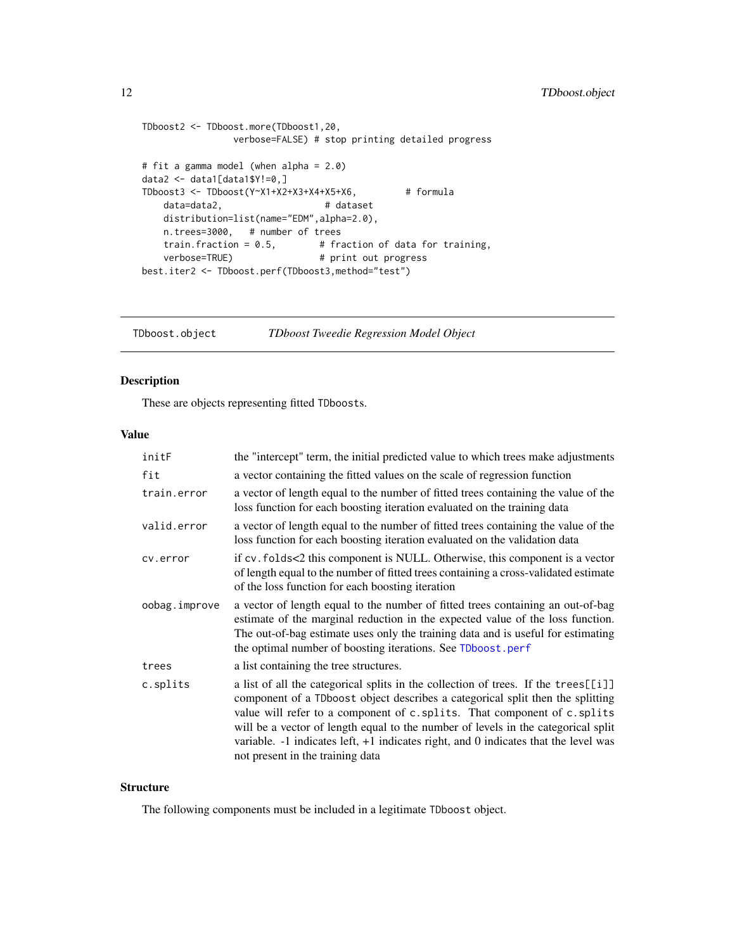```
TDboost2 <- TDboost.more(TDboost1,20,
                verbose=FALSE) # stop printing detailed progress
# fit a gamma model (when alpha = 2.0)
data2 <- data1[data1$Y!=0,]
TDboost3 <- TDboost(Y~X1+X2+X3+X4+X5+X6, \qquad# formula
   data=data2, # dataset
   distribution=list(name="EDM",alpha=2.0),
   n.trees=3000, # number of trees<br>train.fraction = 0.5, # fr.
                                # fraction of data for training,
   verbose=TRUE) # print out progress
best.iter2 <- TDboost.perf(TDboost3,method="test")
```
<span id="page-11-1"></span>TDboost.object *TDboost Tweedie Regression Model Object*

## Description

These are objects representing fitted TDboosts.

#### Value

| initF         | the "intercept" term, the initial predicted value to which trees make adjustments                                                                                                                                                                                                                                                                                                                                                                                   |
|---------------|---------------------------------------------------------------------------------------------------------------------------------------------------------------------------------------------------------------------------------------------------------------------------------------------------------------------------------------------------------------------------------------------------------------------------------------------------------------------|
| fit           | a vector containing the fitted values on the scale of regression function                                                                                                                                                                                                                                                                                                                                                                                           |
| train.error   | a vector of length equal to the number of fitted trees containing the value of the<br>loss function for each boosting iteration evaluated on the training data                                                                                                                                                                                                                                                                                                      |
| valid.error   | a vector of length equal to the number of fitted trees containing the value of the<br>loss function for each boosting iteration evaluated on the validation data                                                                                                                                                                                                                                                                                                    |
| cv.error      | if cv. folds<2 this component is NULL. Otherwise, this component is a vector<br>of length equal to the number of fitted trees containing a cross-validated estimate<br>of the loss function for each boosting iteration                                                                                                                                                                                                                                             |
| oobag.improve | a vector of length equal to the number of fitted trees containing an out-of-bag<br>estimate of the marginal reduction in the expected value of the loss function.<br>The out-of-bag estimate uses only the training data and is useful for estimating<br>the optimal number of boosting iterations. See TDboost.perf                                                                                                                                                |
| trees         | a list containing the tree structures.                                                                                                                                                                                                                                                                                                                                                                                                                              |
| c.splits      | a list of all the categorical splits in the collection of trees. If the trees[[i]]<br>component of a TDboost object describes a categorical split then the splitting<br>value will refer to a component of c.splits. That component of c.splits<br>will be a vector of length equal to the number of levels in the categorical split<br>variable. $-1$ indicates left, $+1$ indicates right, and 0 indicates that the level was<br>not present in the training data |

## **Structure**

The following components must be included in a legitimate TDboost object.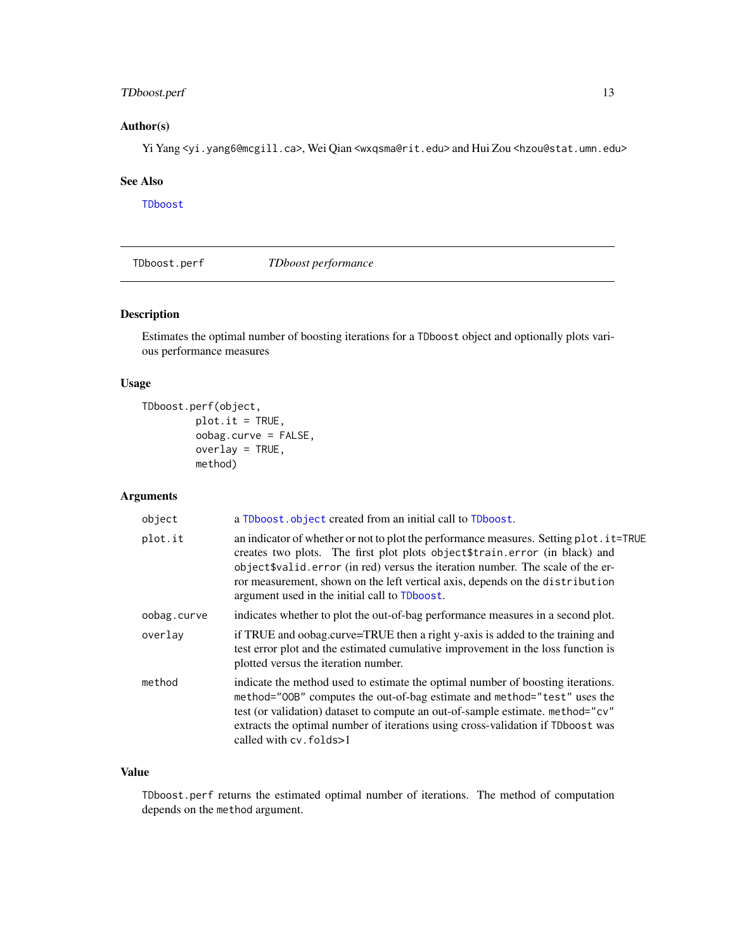## <span id="page-12-0"></span>TDboost.perf 13

## Author(s)

Yi Yang <yi.yang6@mcgill.ca>, Wei Qian <wxqsma@rit.edu> and Hui Zou <hzou@stat.umn.edu>

## See Also

[TDboost](#page-6-1)

<span id="page-12-1"></span>TDboost.perf *TDboost performance*

## Description

Estimates the optimal number of boosting iterations for a TDboost object and optionally plots various performance measures

## Usage

```
TDboost.perf(object,
         plot.it = TRUE,oobag.curve = FALSE,
         overlay = TRUE,
         method)
```
## Arguments

| object      | a TDboost.object created from an initial call to TDboost.                                                                                                                                                                                                                                                                                                                                  |
|-------------|--------------------------------------------------------------------------------------------------------------------------------------------------------------------------------------------------------------------------------------------------------------------------------------------------------------------------------------------------------------------------------------------|
| plot.it     | an indicator of whether or not to plot the performance measures. Setting plot. it=TRUE<br>creates two plots. The first plot plots object \$train.error (in black) and<br>object \$valid.error (in red) versus the iteration number. The scale of the er-<br>ror measurement, shown on the left vertical axis, depends on the distribution<br>argument used in the initial call to TDboost. |
| oobag.curve | indicates whether to plot the out-of-bag performance measures in a second plot.                                                                                                                                                                                                                                                                                                            |
| overlay     | if TRUE and oobag.curve=TRUE then a right y-axis is added to the training and<br>test error plot and the estimated cumulative improvement in the loss function is<br>plotted versus the iteration number.                                                                                                                                                                                  |
| method      | indicate the method used to estimate the optimal number of boosting iterations.<br>method="00B" computes the out-of-bag estimate and method="test" uses the<br>test (or validation) dataset to compute an out-of-sample estimate. method="cv"<br>extracts the optimal number of iterations using cross-validation if TDboost was<br>called with $cv$ . $folds > 1$                         |

## Value

TDboost.perf returns the estimated optimal number of iterations. The method of computation depends on the method argument.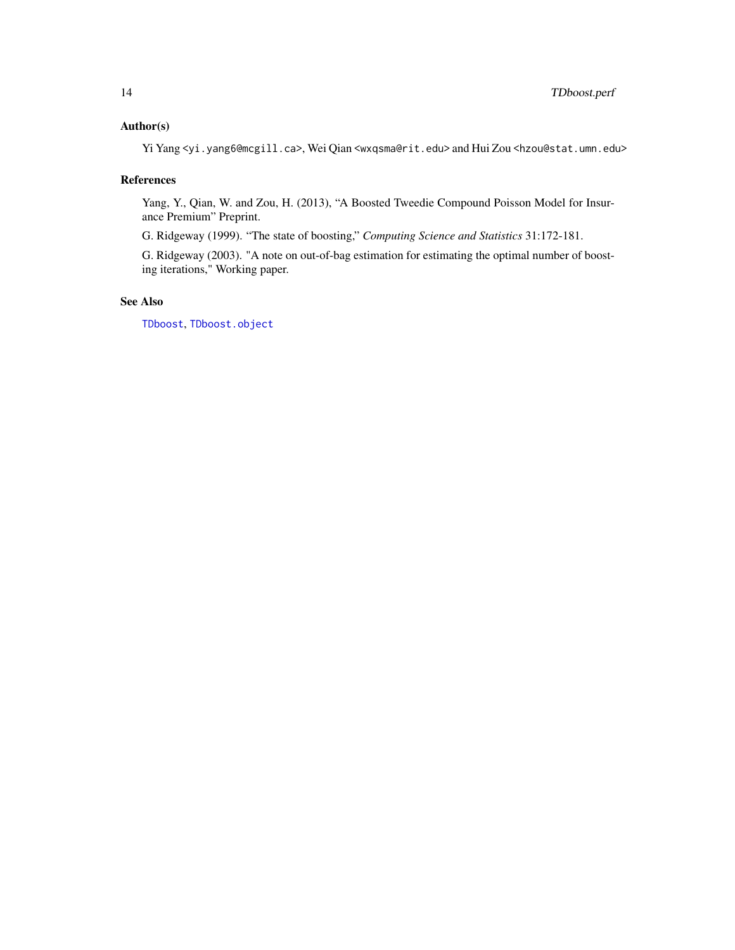## <span id="page-13-0"></span>Author(s)

Yi Yang <yi.yang6@mcgill.ca>, Wei Qian <wxqsma@rit.edu> and Hui Zou <hzou@stat.umn.edu>

## References

Yang, Y., Qian, W. and Zou, H. (2013), "A Boosted Tweedie Compound Poisson Model for Insurance Premium" Preprint.

G. Ridgeway (1999). "The state of boosting," *Computing Science and Statistics* 31:172-181.

G. Ridgeway (2003). "A note on out-of-bag estimation for estimating the optimal number of boosting iterations," Working paper.

## See Also

[TDboost](#page-6-1), [TDboost.object](#page-11-1)